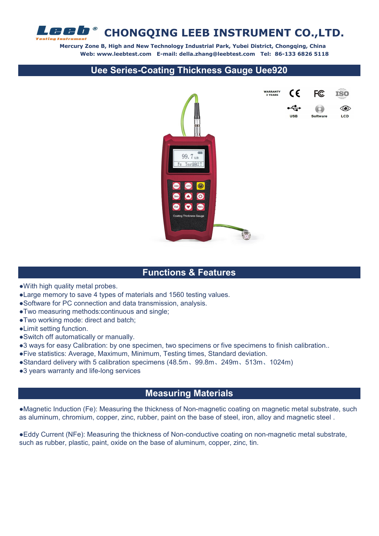

 **Mercury Zone B, High and New Technology Industrial Park, Yubei District, Chongqing, China Web: www.leebtest.com E-mail: della.zhang@leebtest.com Tel: 86-133 6826 5118**

#### **Uee Series-Coating Thickness Gauge Uee920**



#### **Functions & Features**

- ●With high quality metal probes.
- ●Large memory to save 4 types of materials and 1560 testing values.
- ●Software for PC connection and data transmission, analysis.
- ●Two measuring methods:continuous and single;
- ●Two working mode: direct and batch;
- ●Limit setting function.
- ●Switch off automatically or manually.
- ●3 ways for easy Calibration: by one specimen, two specimens or five specimens to finish calibration..
- ●Five statistics: Average, Maximum, Minimum, Testing times, Standard deviation.
- ●Standard delivery with 5 calibration specimens (48.5m、99.8m、249m、513m、1024m)
- ●3 years warranty and life-long services

### **Measuring Materials**

●Magnetic Induction (Fe): Measuring the thickness of Non-magnetic coating on magnetic metal substrate, such as aluminum, chromium, copper, zinc, rubber, paint on the base of steel, iron, alloy and magnetic steel .

●Eddy Current (NFe): Measuring the thickness of Non-conductive coating on non-magnetic metal substrate, such as rubber, plastic, paint, oxide on the base of aluminum, copper, zinc, tin.